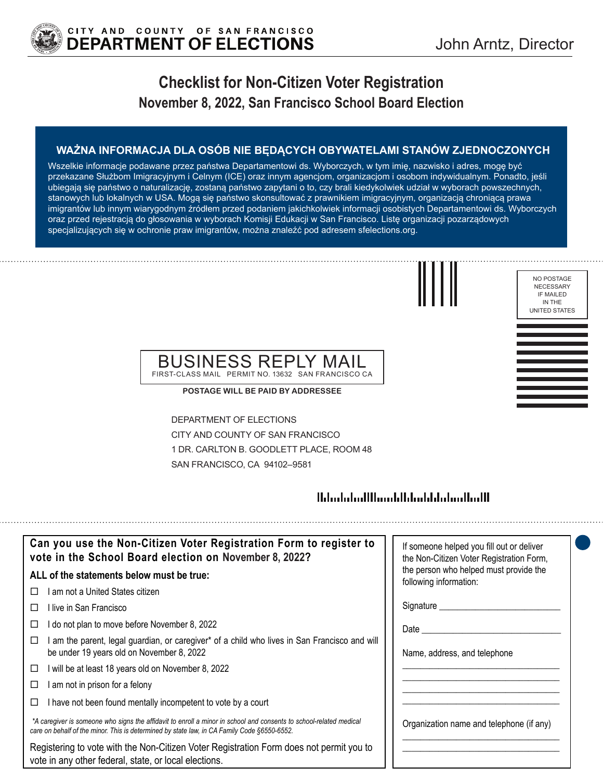

# **Checklist for Non-Citizen Voter Registration November 8, 2022, San Francisco School Board Election**

### **WAŻNA INFORMACJA DLA OSÓB NIE BĘDĄCYCH OBYWATELAMI STANÓW ZJEDNOCZONYCH**

Wszelkie informacje podawane przez państwa Departamentowi ds. Wyborczych, w tym imię, nazwisko i adres, mogę być przekazane Służbom Imigracyjnym i Celnym (ICE) oraz innym agencjom, organizacjom i osobom indywidualnym. Ponadto, jeśli ubiegają się państwo o naturalizację, zostaną państwo zapytani o to, czy brali kiedykolwiek udział w wyborach powszechnych, stanowych lub lokalnych w USA. Mogą się państwo skonsultować z prawnikiem imigracyjnym, organizacją chroniącą prawa imigrantów lub innym wiarygodnym źródłem przed podaniem jakichkolwiek informacji osobistych Departamentowi ds. Wyborczych oraz przed rejestracją do głosowania w wyborach Komisji Edukacji w San Francisco. Listę organizacji pozarządowych specjalizujących się w ochronie praw imigrantów, można znaleźć pod adresem sfelections.org.



### BUSINESS REPLY MAIL FIRST-CLASS MAIL PERMIT NO. 13632 SAN FRANCISCO CA

**POSTAGE WILL BE PAID BY ADDRESSEE**

DEPARTMENT OF ELECTIONS CITY AND COUNTY OF SAN FRANCISCO 1 DR. CARLTON B. GOODLETT PLACE, ROOM 48 SAN FRANCISCO, CA 94102–9581

## 

| Can you use the Non-Citizen Voter Registration Form to register to<br>vote in the School Board election on November 8, 2022?                                                                                      | If someone helped you fill out or deliver<br>the Non-Citizen Voter Registration Form, |
|-------------------------------------------------------------------------------------------------------------------------------------------------------------------------------------------------------------------|---------------------------------------------------------------------------------------|
| ALL of the statements below must be true:                                                                                                                                                                         | the person who helped must provide the<br>following information:                      |
| ∣ am not a United States citizen.<br>П                                                                                                                                                                            |                                                                                       |
| ⊟live in San Francisco                                                                                                                                                                                            | Signature __________                                                                  |
| I do not plan to move before November 8, 2022                                                                                                                                                                     | Date                                                                                  |
| am the parent, legal guardian, or caregiver* of a child who lives in San Francisco and will<br>be under 19 years old on November 8, 2022                                                                          | Name, address, and telephone                                                          |
| will be at least 18 years old on November 8, 2022<br>□                                                                                                                                                            |                                                                                       |
| am not in prison for a felony                                                                                                                                                                                     |                                                                                       |
| I have not been found mentally incompetent to vote by a court                                                                                                                                                     |                                                                                       |
| *A caregiver is someone who signs the affidavit to enroll a minor in school and consents to school-related medical<br>care on behalf of the minor. This is determined by state law, in CA Family Code §6550-6552. | Organization name and telephone (if any)                                              |
| Registering to vote with the Non-Citizen Voter Registration Form does not permit you to<br>vote in any other federal, state, or local elections.                                                                  |                                                                                       |